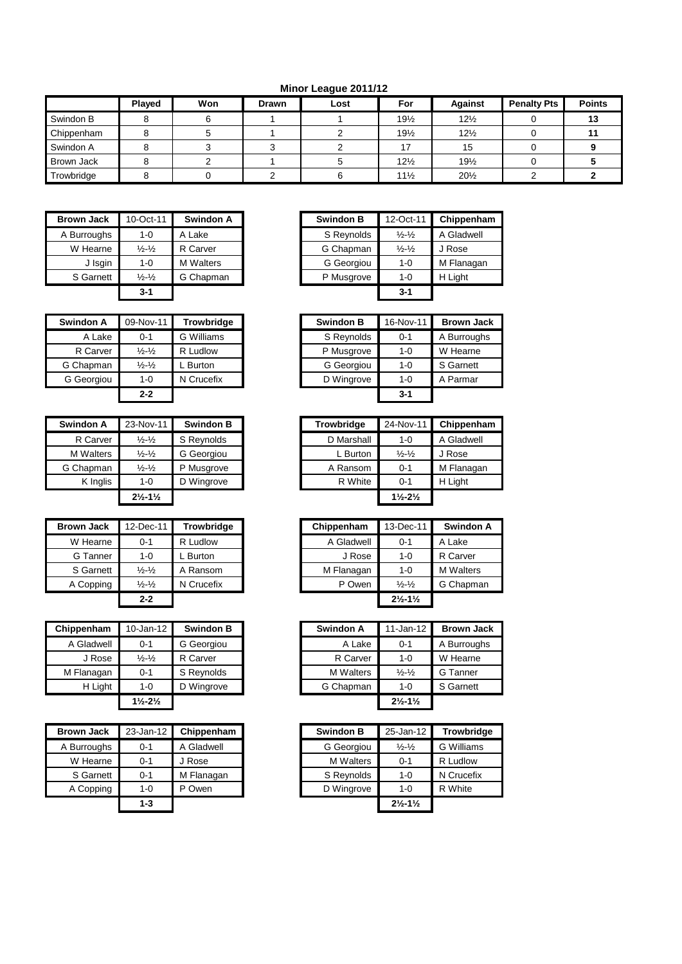**Minor League 2011/12**

|                   | Played | Won | Drawn | Lost | For             | <b>Against</b>  | <b>Penalty Pts</b> | <b>Points</b> |
|-------------------|--------|-----|-------|------|-----------------|-----------------|--------------------|---------------|
| Swindon B         |        |     |       |      | $19\frac{1}{2}$ | $12\frac{1}{2}$ |                    |               |
| Chippenham        |        |     |       |      | $19\frac{1}{2}$ | $12\frac{1}{2}$ |                    |               |
| Swindon A         |        |     |       |      |                 | 15              |                    |               |
| <b>Brown Jack</b> |        |     |       |      | $12\frac{1}{2}$ | $19\frac{1}{2}$ |                    |               |
| Trowbridge        |        |     |       |      | $11\frac{1}{2}$ | $20\frac{1}{2}$ |                    |               |

| <b>Brown Jack</b> | 10-Oct-11                     | <b>Swindon A</b> |
|-------------------|-------------------------------|------------------|
| A Burroughs       | 1-0                           | A Lake           |
| W Hearne          | $\frac{1}{2}$ - $\frac{1}{2}$ | R Carver         |
| J Isgin           | 1-0                           | <b>M</b> Walters |
| S Garnett         | $\frac{1}{2}$ $\frac{1}{2}$   | G Chapman        |
|                   | $3 - 1$                       |                  |

| <b>Swindon A</b> | 09-Nov-11                     | <b>Trowbridge</b> |
|------------------|-------------------------------|-------------------|
| A Lake           | $0 - 1$                       | G Williams        |
| R Carver         | $\frac{1}{2}$ - $\frac{1}{2}$ | R Ludlow          |
| G Chapman        | $\frac{1}{2}$ - $\frac{1}{2}$ | . Burton          |
| G Georgiou       | $1 - 0$                       | N Crucefix        |
|                  | $2 - 2$                       |                   |

| <b>Swindon A</b> | 23-Nov-11                     | <b>Swindon B</b> |
|------------------|-------------------------------|------------------|
| R Carver         | $\frac{1}{2}$ - $\frac{1}{2}$ | S Reynolds       |
| <b>M</b> Walters | $\frac{1}{2} - \frac{1}{2}$   | G Georgiou       |
| G Chapman        | $\frac{1}{2} - \frac{1}{2}$   | P Musgrove       |
| K Inglis         | $1 - 0$                       | D Wingrove       |
|                  | $2\frac{1}{2} - 1\frac{1}{2}$ |                  |

| <b>Brown Jack</b> | 12-Dec-11                   | <b>Trowbridge</b> | Chippenham | 13-Dec-11                     | Swin   |
|-------------------|-----------------------------|-------------------|------------|-------------------------------|--------|
| W Hearne          | $0 - 1$                     | R Ludlow          | A Gladwell | $0 - 1$                       | A Lake |
| G Tanner          | $1 - 0$                     | Burton            | J Rose     | $1 - 0$                       | R Carv |
| S Garnett         | $\frac{1}{2} - \frac{1}{2}$ | A Ransom          | M Flanagan | $1 - 0$                       | M Walt |
| A Copping         | $\frac{1}{2} - \frac{1}{2}$ | N Crucefix        | P Owen     | $\frac{1}{2}$ $\frac{1}{2}$   | G Chai |
|                   | $2 - 2$                     |                   |            | $2\frac{1}{2} - 1\frac{1}{2}$ |        |

| Chippenham | 10-Jan-12                     | <b>Swindon B</b> | <b>Swindon A</b> | $11$ -Jan-12                  |
|------------|-------------------------------|------------------|------------------|-------------------------------|
| A Gladwell | $0 - 1$                       | G Georgiou       | A Lake           | $0 - 1$                       |
| J Rose     | $\frac{1}{2}$ $\frac{1}{2}$   | R Carver         | R Carver         | $1 - 0$                       |
| M Flanagan | $0 - 1$                       | S Reynolds       | <b>M</b> Walters | $\frac{1}{2} - \frac{1}{2}$   |
| H Light    | $1 - 0$                       | D Wingrove       | G Chapman        | $1 - 0$                       |
|            | $1\frac{1}{2} - 2\frac{1}{2}$ |                  |                  | $2\frac{1}{2} - 1\frac{1}{2}$ |

| <b>Brown Jack</b> | $23$ -Jan-12 | Chippenham | <b>Swindon B</b> |                  | 25-Jan-12                     |  |
|-------------------|--------------|------------|------------------|------------------|-------------------------------|--|
| A Burroughs       | $0 - 1$      | A Gladwell |                  | G Georgiou       | $\frac{1}{2}$ $\frac{1}{2}$   |  |
| W Hearne          | $0 - 1$      | J Rose     |                  | <b>M</b> Walters | $0 - 1$                       |  |
| S Garnett         | $0 - 1$      | M Flanagan |                  | S Reynolds       | $1 - 0$                       |  |
| A Copping         | $1 - 0$      | P Owen     |                  | D Wingrove       | $1 - 0$                       |  |
|                   | $1 - 3$      |            |                  |                  | $2\frac{1}{2} - 1\frac{1}{2}$ |  |

| <b>Brown Jack</b> | 10-Oct-11                   | <b>Swindon A</b> | <b>Swindon B</b> | 12-Oct-11                   | Chippenham |
|-------------------|-----------------------------|------------------|------------------|-----------------------------|------------|
| A Burroughs       | $1 - 0$                     | A Lake           | S Reynolds       | $\frac{1}{2} - \frac{1}{2}$ | A Gladwell |
| W Hearne          | $\frac{1}{2} - \frac{1}{2}$ | R Carver         | G Chapman        | $\frac{1}{2}$ $\frac{1}{2}$ | J Rose     |
| J Isgin           | $1 - 0$                     | <b>M</b> Walters | G Georgiou       | $1 - 0$                     | M Flanagan |
| S Garnett         | $\frac{1}{2} - \frac{1}{2}$ | G Chapman        | P Musgrove       | $1 - 0$                     | H Light    |
|                   | $3 - 1$                     |                  |                  | $3 - 1$                     |            |
|                   |                             |                  |                  |                             |            |

| Swindon A  | 09-Nov-11                   | <b>Trowbridge</b> | <b>Swindon B</b> | 16-Nov-11 | <b>Brown Jack</b> |
|------------|-----------------------------|-------------------|------------------|-----------|-------------------|
| A Lake     | $0 - 1$                     | G Williams        | S Reynolds       | $0 - 1$   | A Burroughs       |
| R Carver   | $\frac{1}{2}$ $\frac{1}{2}$ | R Ludlow          | P Musgrove       | $1 - 0$   | W Hearne          |
| G Chapman  | $\frac{1}{2}$ $\frac{1}{2}$ | . Burton          | G Georgiou       | $1 - 0$   | S Garnett         |
| G Georgiou | $1 - 0$                     | N Crucefix        | D Wingrove       | $1 - 0$   | A Parmar          |
|            | $2 - 2$                     |                   |                  | $3 - 1$   |                   |

| Swindon A        | 23-Nov-11                     | <b>Swindon B</b> | <b>Trowbridge</b> | 24-Nov-11                     | Chippenham |
|------------------|-------------------------------|------------------|-------------------|-------------------------------|------------|
| R Carver         | $\frac{1}{2}$ - $\frac{1}{2}$ | S Reynolds       | D Marshall        | $1 - 0$                       | A Gladwell |
| <b>M</b> Walters | $\frac{1}{2} - \frac{1}{2}$   | G Georgiou       | L Burton          | $\frac{1}{2}$ $\frac{1}{2}$   | J Rose     |
| G Chapman        | $\frac{1}{2}$ $\frac{1}{2}$   | P Musgrove       | A Ransom          | $0 - 1$                       | M Flanagan |
| K Inglis         | $1 - 0$                       | D Wingrove       | R White           | $0 - 1$                       | H Light    |
|                  | $2\frac{1}{2} - 1\frac{1}{2}$ |                  |                   | $1\frac{1}{2} - 2\frac{1}{2}$ |            |

| Brown Jack | 12-Dec-11                   | <b>Trowbridge</b> | Chippenham | 13-Dec-11                     | Swindon A        |
|------------|-----------------------------|-------------------|------------|-------------------------------|------------------|
| W Hearne   | $0 - 1$                     | R Ludlow          | A Gladwell | $0 - 1$                       | A Lake           |
| G Tanner   | $1 - 0$                     | L Burton          | J Rose     | $1 - 0$                       | R Carver         |
| S Garnett  | $\frac{1}{2} - \frac{1}{2}$ | A Ransom          | M Flanagan | $1 - 0$                       | <b>M</b> Walters |
| A Copping  | $\frac{1}{2} - \frac{1}{2}$ | N Crucefix        | P Owen     | $\frac{1}{2} - \frac{1}{2}$   | G Chapman        |
|            | $2 - 2$                     |                   |            | $2\frac{1}{2} - 1\frac{1}{2}$ |                  |

| Chippenham | $10$ -Jan-12                  | <b>Swindon B</b> |
|------------|-------------------------------|------------------|
| A Gladwell | $0 - 1$                       | G Georgiou       |
| J Rose     | $\frac{1}{2}$ $\frac{1}{2}$   | R Carver         |
| M Flanagan | $0 - 1$                       | S Reynolds       |
| H Light    | $1 - 0$                       | D Wingrove       |
|            | $1\frac{1}{2} - 2\frac{1}{2}$ |                  |

| <b>Brown Jack</b> | 23-Jan-12 | Chippenham | <b>Swindon B</b> | 25-Jan-12                     | <b>Trowbridge</b> |
|-------------------|-----------|------------|------------------|-------------------------------|-------------------|
| A Burroughs       | $0 - 1$   | A Gladwell | G Georgiou       | $\frac{1}{2}$ $\frac{1}{2}$   | G Williams        |
| W Hearne          | $0 - 1$   | J Rose     | <b>M</b> Walters | $0 - 1$                       | R Ludlow          |
| S Garnett         | $0 - 1$   | M Flanagan | S Reynolds       | $1 - 0$                       | N Crucefix        |
| A Copping         | $1 - 0$   | P Owen     | D Wingrove       | $1 - 0$                       | R White           |
|                   | $1 - 3$   |            |                  | $2\frac{1}{2} - 1\frac{1}{2}$ |                   |